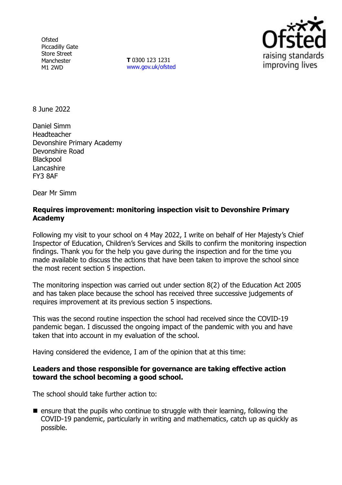**Ofsted** Piccadilly Gate Store Street Manchester M1 2WD

**T** 0300 123 1231 [www.gov.uk/ofsted](http://www.gov.uk/ofsted)



8 June 2022

Daniel Simm Headteacher Devonshire Primary Academy Devonshire Road **Blackpool** Lancashire FY3 8AF

Dear Mr Simm

## **Requires improvement: monitoring inspection visit to Devonshire Primary Academy**

Following my visit to your school on 4 May 2022, I write on behalf of Her Majesty's Chief Inspector of Education, Children's Services and Skills to confirm the monitoring inspection findings. Thank you for the help you gave during the inspection and for the time you made available to discuss the actions that have been taken to improve the school since the most recent section 5 inspection.

The monitoring inspection was carried out under section 8(2) of the Education Act 2005 and has taken place because the school has received three successive judgements of requires improvement at its previous section 5 inspections.

This was the second routine inspection the school had received since the COVID-19 pandemic began. I discussed the ongoing impact of the pandemic with you and have taken that into account in my evaluation of the school.

Having considered the evidence, I am of the opinion that at this time:

### **Leaders and those responsible for governance are taking effective action toward the school becoming a good school.**

The school should take further action to:

 $\blacksquare$  ensure that the pupils who continue to struggle with their learning, following the COVID-19 pandemic, particularly in writing and mathematics, catch up as quickly as possible.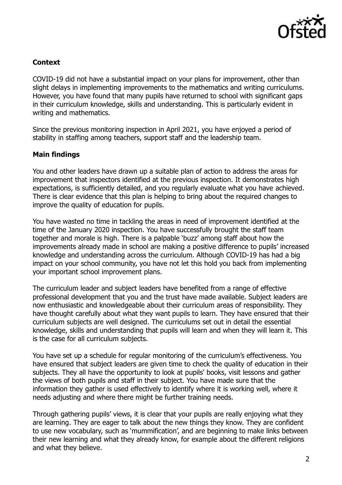

# **Context**

COVID-19 did not have a substantial impact on your plans for improvement, other than slight delays in implementing improvements to the mathematics and writing curriculums. However, you have found that many pupils have returned to school with significant gaps in their curriculum knowledge, skills and understanding. This is particularly evident in writing and mathematics.

Since the previous monitoring inspection in April 2021, you have enjoyed a period of stability in staffing among teachers, support staff and the leadership team.

### **Main findings**

You and other leaders have drawn up a suitable plan of action to address the areas for improvement that inspectors identified at the previous inspection. It demonstrates high expectations, is sufficiently detailed, and you regularly evaluate what you have achieved. There is clear evidence that this plan is helping to bring about the required changes to improve the quality of education for pupils.

You have wasted no time in tackling the areas in need of improvement identified at the time of the January 2020 inspection. You have successfully brought the staff team together and morale is high. There is a palpable 'buzz' among staff about how the improvements already made in school are making a positive difference to pupils' increased knowledge and understanding across the curriculum. Although COVID-19 has had a big impact on your school community, you have not let this hold you back from implementing your important school improvement plans.

The curriculum leader and subject leaders have benefited from a range of effective professional development that you and the trust have made available. Subject leaders are now enthusiastic and knowledgeable about their curriculum areas of responsibility. They have thought carefully about what they want pupils to learn. They have ensured that their curriculum subjects are well designed. The curriculums set out in detail the essential knowledge, skills and understanding that pupils will learn and when they will learn it. This is the case for all curriculum subjects.

You have set up a schedule for regular monitoring of the curriculum's effectiveness. You have ensured that subject leaders are given time to check the quality of education in their subjects. They all have the opportunity to look at pupils' books, visit lessons and gather the views of both pupils and staff in their subject. You have made sure that the information they gather is used effectively to identify where it is working well, where it needs adjusting and where there might be further training needs.

Through gathering pupils' views, it is clear that your pupils are really enjoying what they are learning. They are eager to talk about the new things they know. They are confident to use new vocabulary, such as 'mummification', and are beginning to make links between their new learning and what they already know, for example about the different religions and what they believe.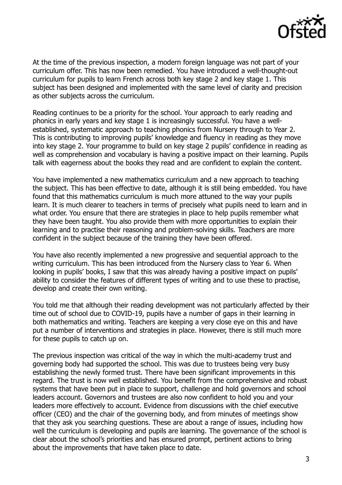

At the time of the previous inspection, a modern foreign language was not part of your curriculum offer. This has now been remedied. You have introduced a well-thought-out curriculum for pupils to learn French across both key stage 2 and key stage 1. This subject has been designed and implemented with the same level of clarity and precision as other subjects across the curriculum.

Reading continues to be a priority for the school. Your approach to early reading and phonics in early years and key stage 1 is increasingly successful. You have a wellestablished, systematic approach to teaching phonics from Nursery through to Year 2. This is contributing to improving pupils' knowledge and fluency in reading as they move into key stage 2. Your programme to build on key stage 2 pupils' confidence in reading as well as comprehension and vocabulary is having a positive impact on their learning. Pupils talk with eagerness about the books they read and are confident to explain the content.

You have implemented a new mathematics curriculum and a new approach to teaching the subject. This has been effective to date, although it is still being embedded. You have found that this mathematics curriculum is much more attuned to the way your pupils learn. It is much clearer to teachers in terms of precisely what pupils need to learn and in what order. You ensure that there are strategies in place to help pupils remember what they have been taught. You also provide them with more opportunities to explain their learning and to practise their reasoning and problem-solving skills. Teachers are more confident in the subject because of the training they have been offered.

You have also recently implemented a new progressive and sequential approach to the writing curriculum. This has been introduced from the Nursery class to Year 6. When looking in pupils' books, I saw that this was already having a positive impact on pupils' ability to consider the features of different types of writing and to use these to practise, develop and create their own writing.

You told me that although their reading development was not particularly affected by their time out of school due to COVID-19, pupils have a number of gaps in their learning in both mathematics and writing. Teachers are keeping a very close eye on this and have put a number of interventions and strategies in place. However, there is still much more for these pupils to catch up on.

The previous inspection was critical of the way in which the multi-academy trust and governing body had supported the school. This was due to trustees being very busy establishing the newly formed trust. There have been significant improvements in this regard. The trust is now well established. You benefit from the comprehensive and robust systems that have been put in place to support, challenge and hold governors and school leaders account. Governors and trustees are also now confident to hold you and your leaders more effectively to account. Evidence from discussions with the chief executive officer (CEO) and the chair of the governing body, and from minutes of meetings show that they ask you searching questions. These are about a range of issues, including how well the curriculum is developing and pupils are learning. The governance of the school is clear about the school's priorities and has ensured prompt, pertinent actions to bring about the improvements that have taken place to date.